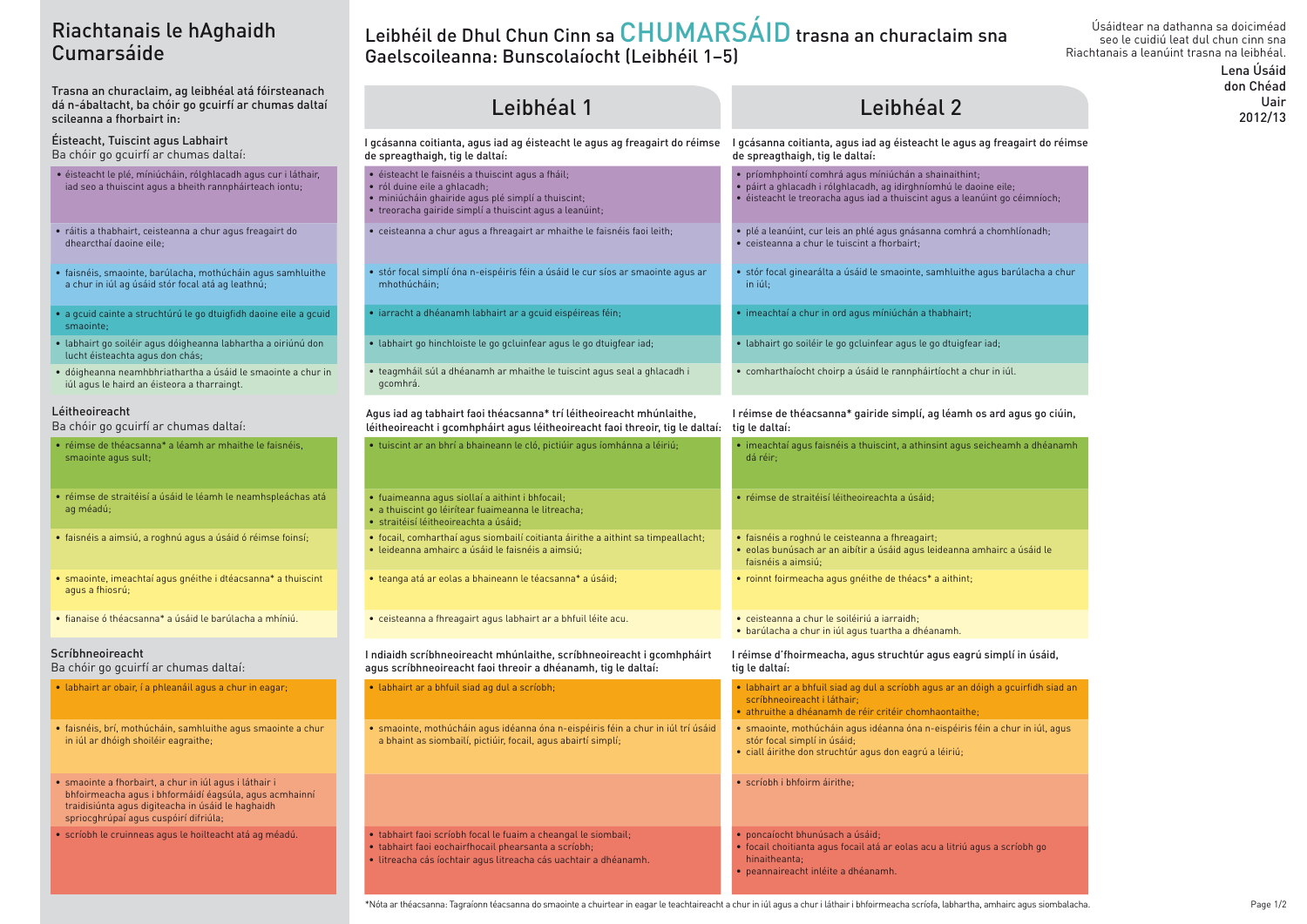## Riachtanais le hAghaidh Cumarsáide

Trasna an churaclaim, ag leibhéal atá fóirsteanach dá n-ábaltacht, ba chóir go gcuirfí ar chumas daltaí scileanna a fhorbairt in:

Éisteacht, Tuiscint agus Labhairt Ba chóir go gcuirfí ar chumas daltaí:

- • príomhphointí comhrá agus míniúchán a shainaithint;
- · páirt a ghlacadh i rólghlacadh, ag idirghníomhú le daoir · éisteacht le treoracha agus iad a thuiscint agus a leanú
- 
- ceisteanna a chur le tuiscint a fhorbairt;
- stór focal ginearálta a úsáid le smaointe, samhluithe ach in iúl;
- 
- 
- comharthaíocht choirp a úsáid le rannpháirtíocht a chu
- • éisteacht le plé, míniúcháin, rólghlacadh agus cur i láthair, iad seo a thuiscint agus a bheith rannpháirteach iontu;
- • ráitis a thabhairt, ceisteanna a chur agus freagairt do dhearcthaí daoine eile;
- • faisnéis, smaointe, barúlacha, mothúcháin agus samhluithe a chur in iúl ag úsáid stór focal atá ag leathnú;
- • a gcuid cainte a struchtúrú le go dtuigfidh daoine eile a gcuid smaointe;
- • labhairt go soiléir agus dóigheanna labhartha a oiriúnú don lucht éisteachta agus don chás;
- • dóigheanna neamhbhriathartha a úsáid le smaointe a chur in iúl agus le haird an éisteora a tharraingt.

l gcásanna coitianta, agus iad ag éisteacht le agus ag freagairt do réimse I gcásanna coitianta, agus iad ag éisteacht le agus ag freagairt do réimse de spreagthaigh, tig le daltaí:

- • éisteacht le faisnéis a thuiscint agus a fháil;
- • ról duine eile a ghlacadh;
- miniúcháin ghairide agus plé simplí a thuiscint;
- treoracha gairide simplí a thuiscint agus a leanúint;
- ceisteanna a chur agus a fhreagairt ar mhaithe le faisnéis faoi leith; • plé a leanúint, cur leis an phlé agus gnásanna comhrá a
- • stór focal simplí óna n-eispéiris féin a úsáid le cur síos ar smaointe agus ar mhothúcháin;
- iarracht a dhéanamh labhairt ar a gcuid eispéireas féin; **•** imeachtaí a chur in ord agus míniúchán a thabhairt;
- • labhairt go hinchloiste le go gcluinfear agus le go dtuigfear iad; • labhairt go soiléir le go gcluinfear agus le go dtuigfear iad;
- • teagmháil súl a dhéanamh ar mhaithe le tuiscint agus seal a ghlacadh i gcomhrá.

## Leibhéil de Dhul Chun Cinn sa CHUMARSÁID trasna an churaclaim sna Gaelscoileanna: Bunscolaíocht (Leibhéil 1–5)

de spreagthaigh, tig le daltaí:

### Scríbhneoireacht

Ba chóir go gcuirfí ar chumas daltaí:

- • labhairt ar obair, í a phleanáil agus a chur in eagar;
- faisnéis, brí, mothúcháin, samhluithe agus smaointe a chur in iúl ar dhóigh shoiléir eagraithe;
- • smaointe a fhorbairt, a chur in iúl agus i láthair i bhfoirmeacha agus i bhformáidí éagsúla, agus acmhainní traidisiúnta agus digiteacha in úsáid le haghaidh spriocghrúpaí agus cuspóirí difriúla;
- • scríobh le cruinneas agus le hoilteacht atá ag méadú.

• poncaíocht bhunúsach a úsáid;



hinaitheanta;

- 
- • smaointe, mothúcháin agus idéanna óna n-eispéiris féin a chur in iúl trí úsáid a bhaint as siombailí, pictiúir, focail, agus abairtí simplí;
- tabhairt faoi scríobh focal le fuaim a cheangal le siombail;
- tabhairt faoi eochairfhocail phearsanta a scríobh;
- • litreacha cás íochtair agus litreacha cás uachtair a dhéanamh.
- • peannaireacht inléite a dhéanamh.
- \*Nóta ar théacsanna: Tagraíonn téacsanna do smaointe a chuirtear in eagar le teachtaireacht a chur in iúl agus a chur i láthair i bhfoirmeacha scríofa, labhartha, amhairc agus siombalacha.

### I ndiaidh scríbhneoireacht mhúnlaithe, scríbhneoireacht i gcomhpháirt agus scríbhneoireacht faoi threoir a dhéanamh, tig le daltaí:

I réimse d'fhoirmeacha, agus struchtúr agus eagrú simplí in úsáid, tig le daltaí:

- labhairt ar a bhfuil siad ag dul a scríobh; e comhairt ar a bhfuil siad ag dul a scríobh agus ar an dóigh a gcuirfidh siad an scríbhneoireacht i láthair;
	- • athruithe a dhéanamh de réir critéir chomhaontaithe;
	- • smaointe, mothúcháin agus idéanna óna n-eispéiris féin a chur in iúl, agus stór focal simplí in úsáid;
	- • ciall áirithe don struchtúr agus don eagrú a léiriú;
	- scríobh i bhfoirm áirithe:

# Leibhéal 1 Leibhéal 2

### Léitheoireacht

Ba chóir go gcuirfí ar chumas daltaí:

### Agus iad ag tabhairt faoi théacsanna\* trí léitheoireacht mhúnlaithe, léitheoireacht i gcomhpháirt agus léitheoireacht faoi threoir, tig le daltaí: tig le daltaí:

- tuiscint ar an bhrí a bhaineann le cló, pictiúir agus íomhánna a léiriú; • imeachtaí agus faisnéis a thuiscint, a athinsint agus sei
- fuaimeanna agus siollaí a aithint i bhfocail;
- • a thuiscint go léirítear fuaimeanna le litreacha;
- straitéisí léitheoireachta a úsáid;
- focail, comharthaí agus siombailí coitianta áirithe a aithint sa timpeallacht:
- • leideanna amhairc a úsáid le faisnéis a aimsiú;
- teanga atá ar eolas a bhaineann le téacsanna\* a úsáid; roinnt foirmeacha agus gnéithe de théacs\* a aithint;
- ceisteanna a fhreagairt agus labhairt ar a bhfuil léite acu.  **ceisteanna a chur le soiléiriú a iarraidh**;

I réimse de théacsanna\* gairide simplí, ag léamh os ard agus go ciúin,

### Úsáidtear na dathanna sa doiciméad seo le cuidiú leat dul chun cinn sna Riachtanais a leanúint trasna na leibhéal. Lena Úsáid don Chéad Uair 2012/13

| ee eile;<br>int go céimníoch; |
|-------------------------------|
| chomhlíonadh;                 |
| ius barúlacha a chur          |
|                               |
| ad;                           |
| r in iúl.                     |

| cheamh a dhéanamh |
|-------------------|
|                   |
| hairc a úsáid le  |
|                   |

- dá réir;
- • réimse de straitéisí léitheoireachta a úsáid;
- faisnéis a roghnú le ceisteanna a fhreagairt:
- · eolas bunúsach ar an aibítir a úsáid agus leideanna aml faisnéis a aimsiú;
- 
- 
- • barúlacha a chur in iúl agus tuartha a dhéanamh.
- • réimse de théacsanna\* a léamh ar mhaithe le faisnéis, smaointe agus sult;
- • réimse de straitéisí a úsáid le léamh le neamhspleáchas atá ag méadú;
- faisnéis a aimsiú, a roghnú agus a úsáid ó réimse foinsí;
- • smaointe, imeachtaí agus gnéithe i dtéacsanna\* a thuiscint agus a fhiosrú;
- • fianaise ó théacsanna\* a úsáid le barúlacha a mhíniú.